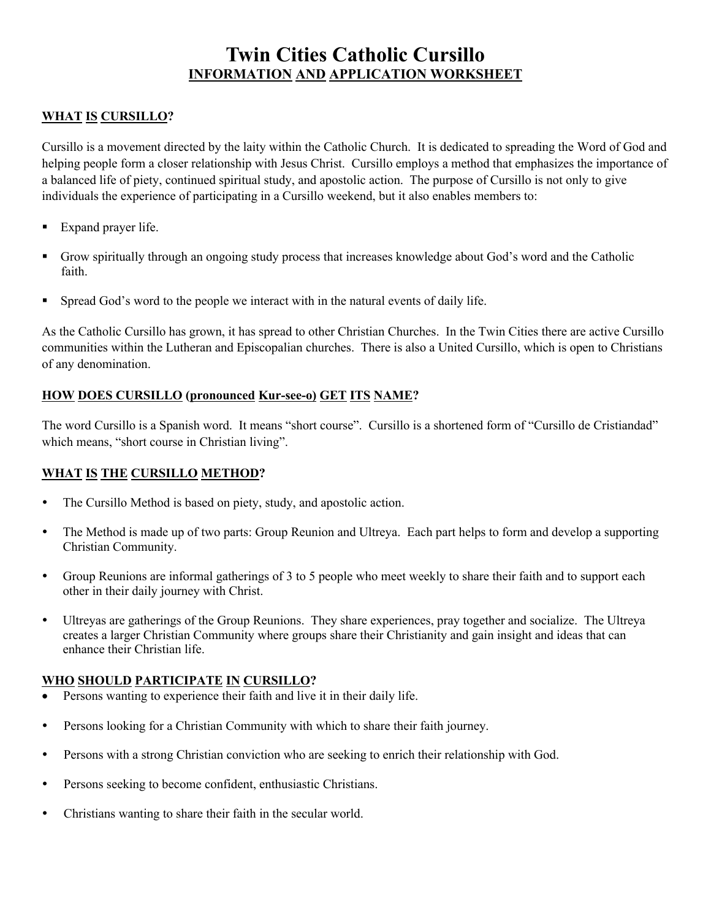# **Twin Cities Catholic Cursillo INFORMATION AND APPLICATION WORKSHEET**

## **WHAT IS CURSILLO?**

Cursillo is a movement directed by the laity within the Catholic Church. It is dedicated to spreading the Word of God and helping people form a closer relationship with Jesus Christ. Cursillo employs a method that emphasizes the importance of a balanced life of piety, continued spiritual study, and apostolic action. The purpose of Cursillo is not only to give individuals the experience of participating in a Cursillo weekend, but it also enables members to:

- Expand prayer life.
- § Grow spiritually through an ongoing study process that increases knowledge about God's word and the Catholic faith.
- Spread God's word to the people we interact with in the natural events of daily life.

As the Catholic Cursillo has grown, it has spread to other Christian Churches. In the Twin Cities there are active Cursillo communities within the Lutheran and Episcopalian churches. There is also a United Cursillo, which is open to Christians of any denomination.

#### **HOW DOES CURSILLO (pronounced Kur-see-o) GET ITS NAME?**

The word Cursillo is a Spanish word. It means "short course". Cursillo is a shortened form of "Cursillo de Cristiandad" which means, "short course in Christian living".

#### **WHAT IS THE CURSILLO METHOD?**

- The Cursillo Method is based on piety, study, and apostolic action.
- The Method is made up of two parts: Group Reunion and Ultreya. Each part helps to form and develop a supporting Christian Community.
- Group Reunions are informal gatherings of 3 to 5 people who meet weekly to share their faith and to support each other in their daily journey with Christ.
- Ultreyas are gatherings of the Group Reunions. They share experiences, pray together and socialize. The Ultreya creates a larger Christian Community where groups share their Christianity and gain insight and ideas that can enhance their Christian life.

#### **WHO SHOULD PARTICIPATE IN CURSILLO?**

- Persons wanting to experience their faith and live it in their daily life.
- Persons looking for a Christian Community with which to share their faith journey.
- Persons with a strong Christian conviction who are seeking to enrich their relationship with God.
- Persons seeking to become confident, enthusiastic Christians.
- Christians wanting to share their faith in the secular world.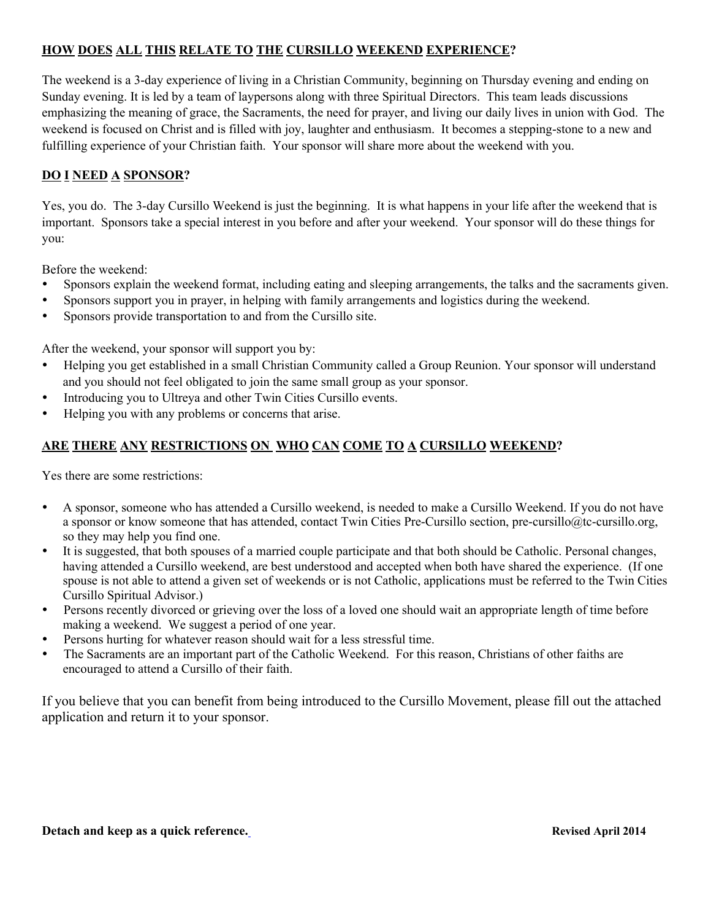# **HOW DOES ALL THIS RELATE TO THE CURSILLO WEEKEND EXPERIENCE?**

The weekend is a 3-day experience of living in a Christian Community, beginning on Thursday evening and ending on Sunday evening. It is led by a team of laypersons along with three Spiritual Directors. This team leads discussions emphasizing the meaning of grace, the Sacraments, the need for prayer, and living our daily lives in union with God. The weekend is focused on Christ and is filled with joy, laughter and enthusiasm. It becomes a stepping-stone to a new and fulfilling experience of your Christian faith. Your sponsor will share more about the weekend with you.

#### **DO I NEED A SPONSOR?**

Yes, you do. The 3-day Cursillo Weekend is just the beginning. It is what happens in your life after the weekend that is important. Sponsors take a special interest in you before and after your weekend. Your sponsor will do these things for you:

Before the weekend:

- Sponsors explain the weekend format, including eating and sleeping arrangements, the talks and the sacraments given.
- Sponsors support you in prayer, in helping with family arrangements and logistics during the weekend.
- Sponsors provide transportation to and from the Cursillo site.

After the weekend, your sponsor will support you by:

- Helping you get established in a small Christian Community called a Group Reunion. Your sponsor will understand and you should not feel obligated to join the same small group as your sponsor.
- Introducing you to Ultreya and other Twin Cities Cursillo events.
- Helping you with any problems or concerns that arise.

#### **ARE THERE ANY RESTRICTIONS ON WHO CAN COME TO A CURSILLO WEEKEND?**

Yes there are some restrictions:

- A sponsor, someone who has attended a Cursillo weekend, is needed to make a Cursillo Weekend. If you do not have a sponsor or know someone that has attended, contact Twin Cities Pre-Cursillo section, pre-cursillo@tc-cursillo.org, so they may help you find one.
- It is suggested, that both spouses of a married couple participate and that both should be Catholic. Personal changes, having attended a Cursillo weekend, are best understood and accepted when both have shared the experience. (If one spouse is not able to attend a given set of weekends or is not Catholic, applications must be referred to the Twin Cities Cursillo Spiritual Advisor.)
- Persons recently divorced or grieving over the loss of a loved one should wait an appropriate length of time before making a weekend. We suggest a period of one year.
- Persons hurting for whatever reason should wait for a less stressful time.
- The Sacraments are an important part of the Catholic Weekend. For this reason, Christians of other faiths are encouraged to attend a Cursillo of their faith.

If you believe that you can benefit from being introduced to the Cursillo Movement, please fill out the attached application and return it to your sponsor.